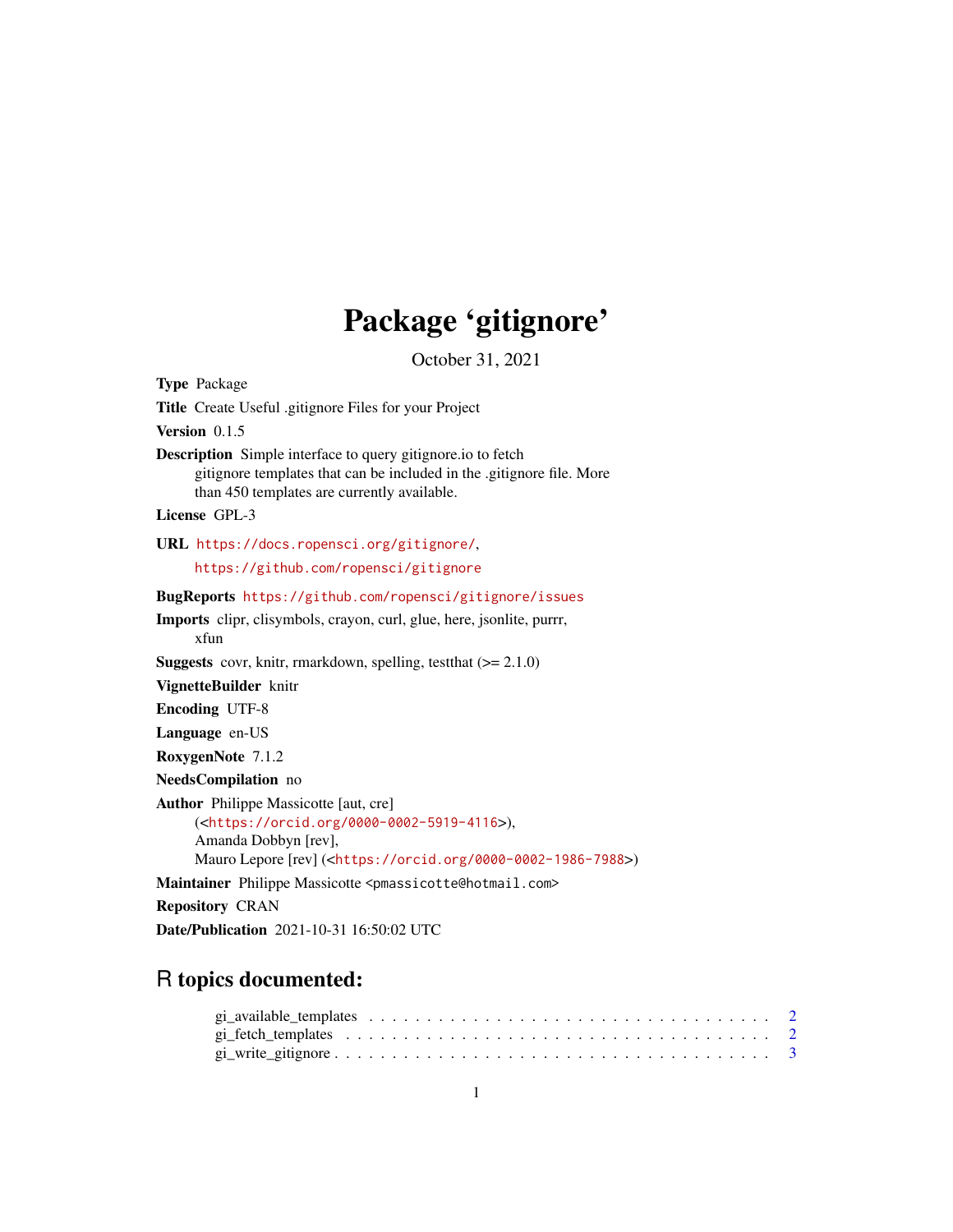## Package 'gitignore'

October 31, 2021

Type Package Title Create Useful .gitignore Files for your Project Version 0.1.5 Description Simple interface to query gitignore.io to fetch gitignore templates that can be included in the .gitignore file. More than 450 templates are currently available. License GPL-3 URL <https://docs.ropensci.org/gitignore/>, <https://github.com/ropensci/gitignore> BugReports <https://github.com/ropensci/gitignore/issues> Imports clipr, clisymbols, crayon, curl, glue, here, jsonlite, purrr, xfun **Suggests** covr, knitr, rmarkdown, spelling, test that  $(>= 2.1.0)$ VignetteBuilder knitr Encoding UTF-8 Language en-US RoxygenNote 7.1.2 NeedsCompilation no Author Philippe Massicotte [aut, cre] (<<https://orcid.org/0000-0002-5919-4116>>), Amanda Dobbyn [rev], Mauro Lepore [rev] (<<https://orcid.org/0000-0002-1986-7988>>) Maintainer Philippe Massicotte <pmassicotte@hotmail.com> Repository CRAN Date/Publication 2021-10-31 16:50:02 UTC

### R topics documented: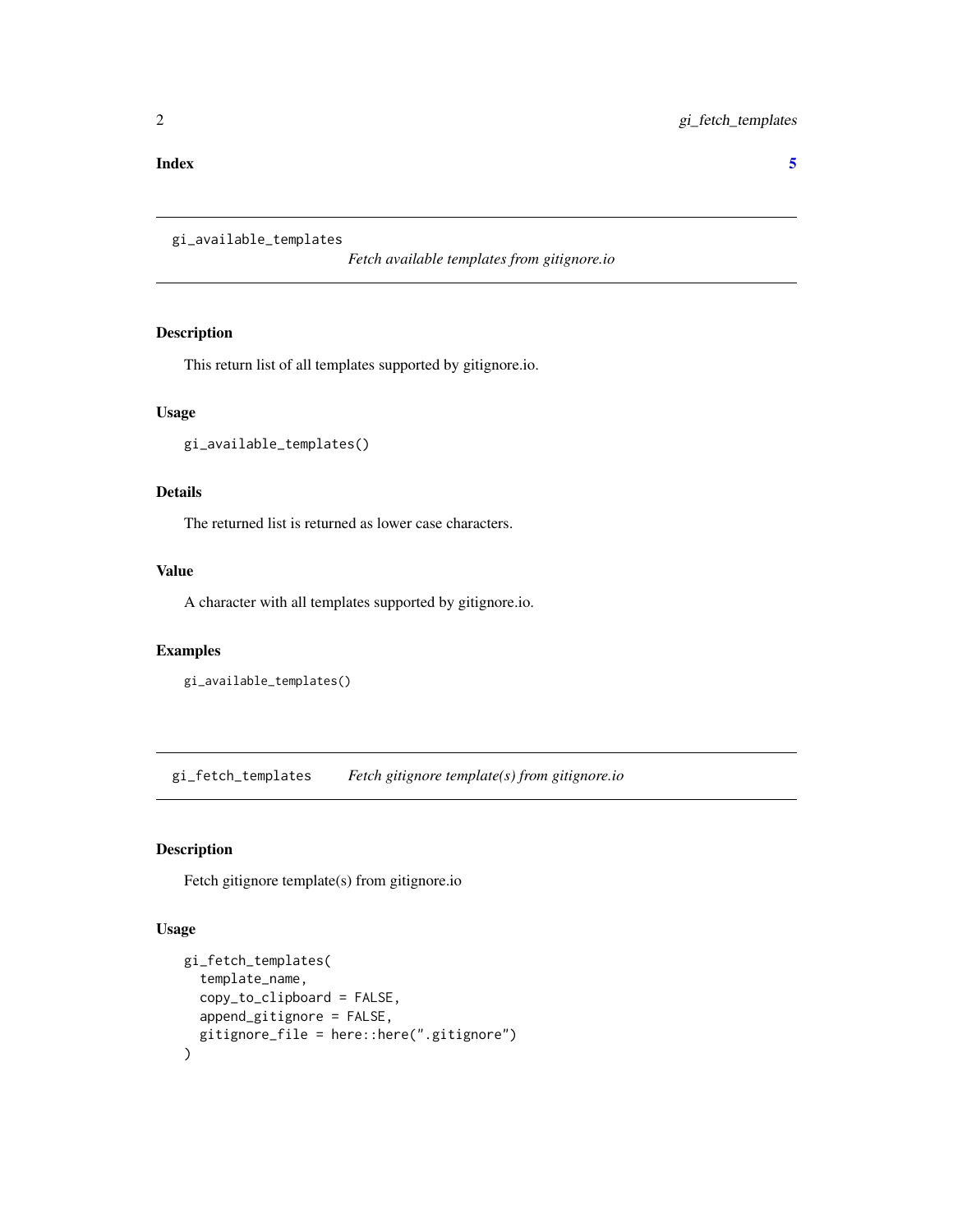### <span id="page-1-0"></span>**Index** [5](#page-4-0). The second state of the second state of the second state of the second state of the second state of the second state of the second state of the second state of the second state of the second state of the second

<span id="page-1-1"></span>gi\_available\_templates

*Fetch available templates from gitignore.io*

### Description

This return list of all templates supported by gitignore.io.

### Usage

gi\_available\_templates()

### Details

The returned list is returned as lower case characters.

### Value

A character with all templates supported by gitignore.io.

### Examples

```
gi_available_templates()
```
gi\_fetch\_templates *Fetch gitignore template(s) from gitignore.io*

### Description

Fetch gitignore template(s) from gitignore.io

### Usage

```
gi_fetch_templates(
  template_name,
  copy_to_clipboard = FALSE,
  append_gitignore = FALSE,
  gitignore_file = here::here(".gitignore")
\mathcal{E}
```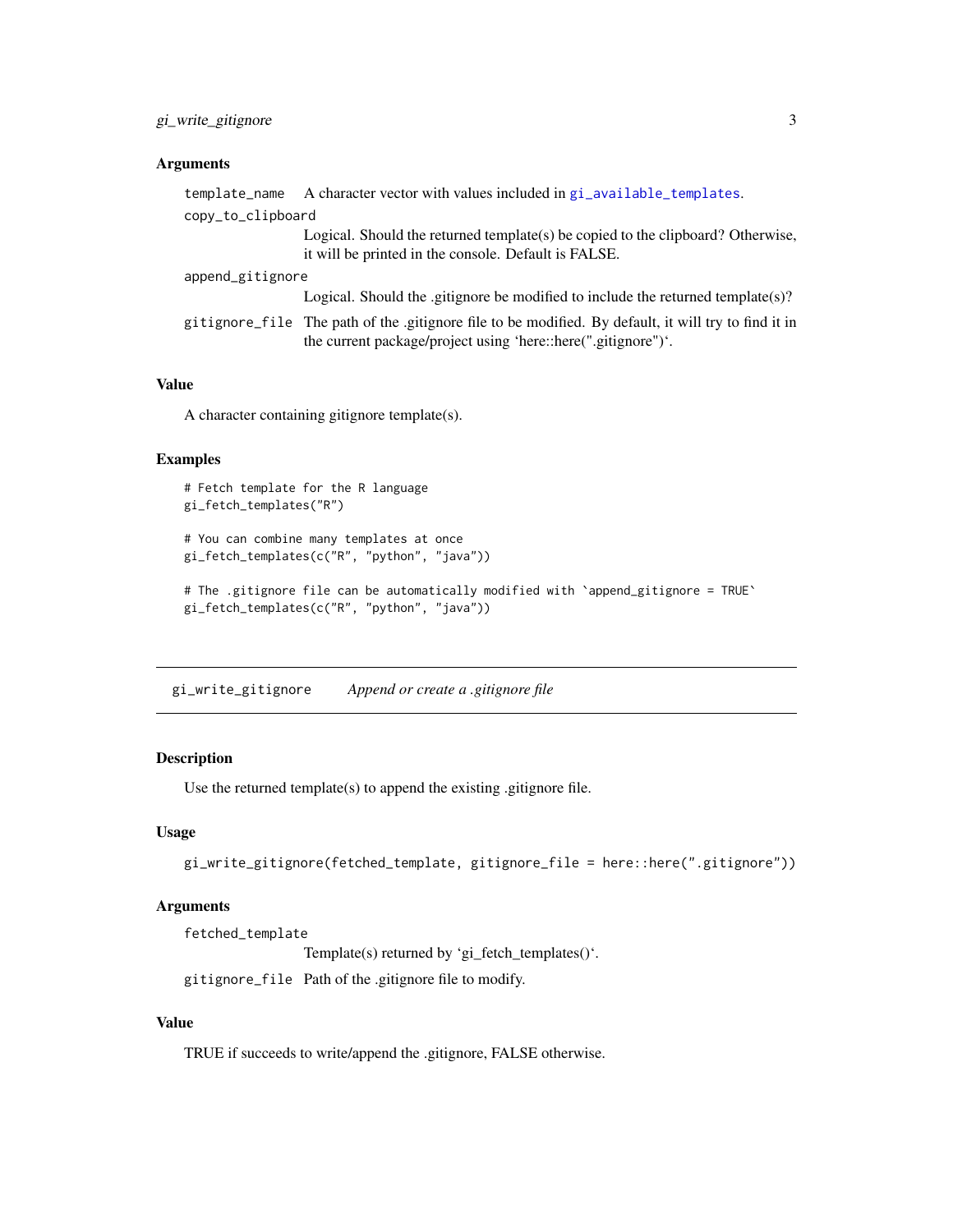### <span id="page-2-0"></span>Arguments

|                   | template_name A character vector with values included in gi_available_templates.                                                                                     |
|-------------------|----------------------------------------------------------------------------------------------------------------------------------------------------------------------|
| copy_to_clipboard |                                                                                                                                                                      |
|                   | Logical. Should the returned template(s) be copied to the clipboard? Otherwise,<br>it will be printed in the console. Default is FALSE.                              |
| append_gitignore  |                                                                                                                                                                      |
|                   | Logical. Should the gitignore be modified to include the returned template(s)?                                                                                       |
|                   | gitignore file The path of the gitignore file to be modified. By default, it will try to find it in<br>the current package/project using 'here::here(".gitignore")'. |
|                   |                                                                                                                                                                      |

### Value

A character containing gitignore template(s).

### Examples

```
# Fetch template for the R language
gi_fetch_templates("R")
# You can combine many templates at once
gi_fetch_templates(c("R", "python", "java"))
# The .gitignore file can be automatically modified with `append_gitignore = TRUE`
gi_fetch_templates(c("R", "python", "java"))
```
gi\_write\_gitignore *Append or create a .gitignore file*

### Description

Use the returned template(s) to append the existing .gitignore file.

### Usage

```
gi_write_gitignore(fetched_template, gitignore_file = here::here(".gitignore"))
```
### Arguments

fetched\_template

Template(s) returned by 'gi\_fetch\_templates()'.

gitignore\_file Path of the .gitignore file to modify.

### Value

TRUE if succeeds to write/append the .gitignore, FALSE otherwise.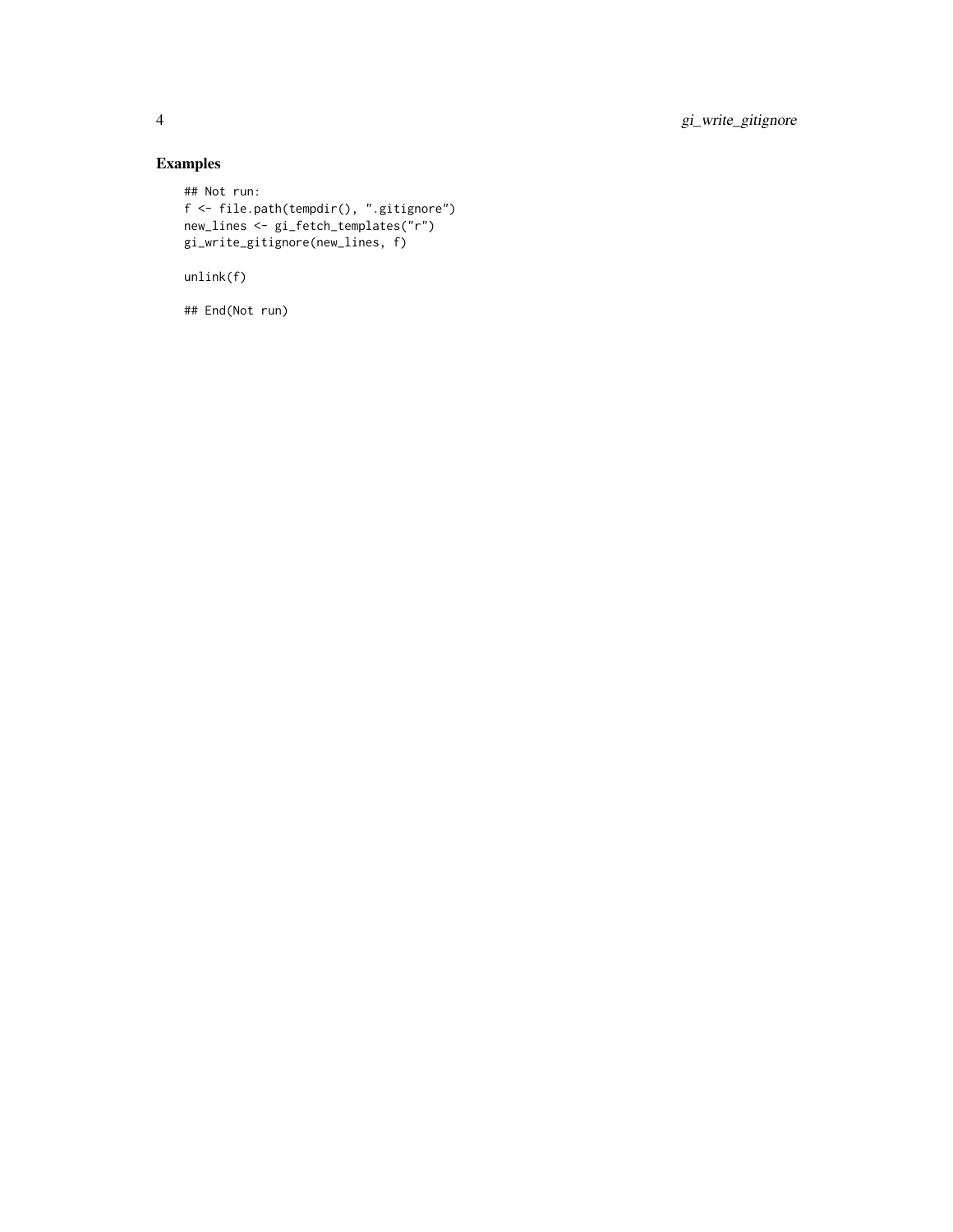4 gi\_write\_gitignore

### Examples

```
## Not run:
f <- file.path(tempdir(), ".gitignore")
new_lines <- gi_fetch_templates("r")
gi_write_gitignore(new_lines, f)
unlink(f)
## End(Not run)
```